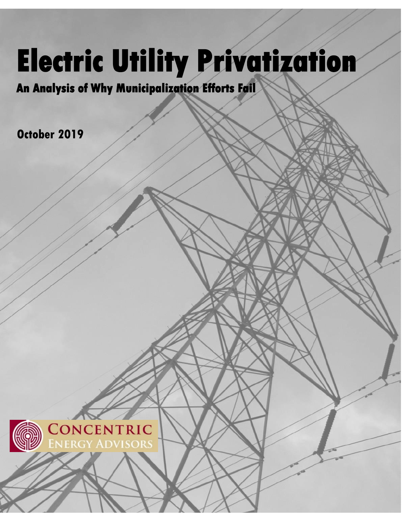# **Electric Utility Privatization**

**An Analysis of Why Municipalization Efforts Fail** 

**October 2019**

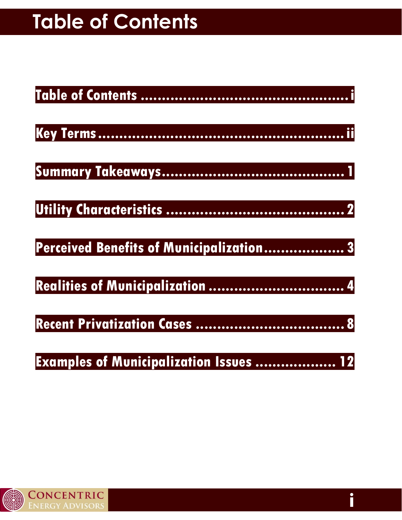<span id="page-1-0"></span>

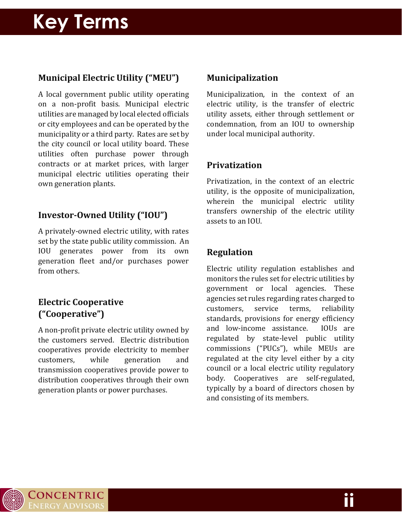### <span id="page-2-0"></span>**Municipal Electric Utility ("MEU")**

A local government public utility operating on a non-profit basis. Municipal electric utilities are managed by local elected officials or city employees and can be operated by the municipality or a third party. Rates are set by the city council or local utility board. These utilities often purchase power through contracts or at market prices, with larger municipal electric utilities operating their own generation plants.

### **Investor-Owned Utility ("IOU")**

A privately-owned electric utility, with rates set by the state public utility commission. An IOU generates power from its own generation fleet and/or purchases power from others.

### **Electric Cooperative ("Cooperative")**

A non-profit private electric utility owned by the customers served. Electric distribution cooperatives provide electricity to member customers, while generation and transmission cooperatives provide power to distribution cooperatives through their own generation plants or power purchases.

### **Municipalization**

Municipalization, in the context of an electric utility, is the transfer of electric utility assets, either through settlement or condemnation, from an IOU to ownership under local municipal authority.

### **Privatization**

Privatization, in the context of an electric utility, is the opposite of municipalization, wherein the municipal electric utility transfers ownership of the electric utility assets to an IOU.

### **Regulation**

Electric utility regulation establishes and monitors the rules set for electric utilities by government or local agencies. These agencies set rules regarding rates charged to customers, service terms, reliability standards, provisions for energy efficiency and low-income assistance. IOUs are regulated by state-level public utility commissions ("PUCs"), while MEUs are regulated at the city level either by a city council or a local electric utility regulatory body. Cooperatives are self-regulated, typically by a board of directors chosen by and consisting of its members.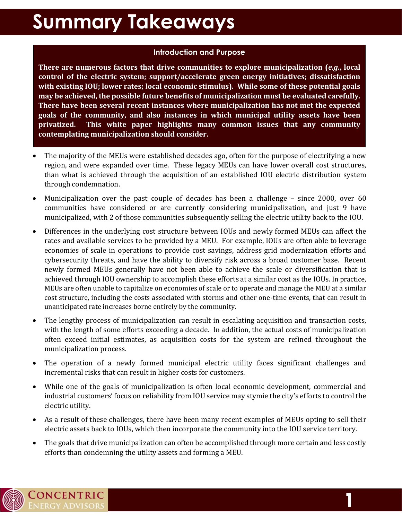#### **Introduction and Purpose**

<span id="page-3-0"></span>**There are numerous factors that drive communities to explore municipalization (***e.g***., local control of the electric system; support/accelerate green energy initiatives; dissatisfaction with existing IOU; lower rates; local economic stimulus). While some of these potential goals may be achieved, the possible future benefits of municipalization must be evaluated carefully. There have been several recent instances where municipalization has not met the expected goals of the community, and also instances in which municipal utility assets have been privatized. This white paper highlights many common issues that any community contemplating municipalization should consider.**

- The majority of the MEUs were established decades ago, often for the purpose of electrifying a new region, and were expanded over time. These legacy MEUs can have lower overall cost structures, than what is achieved through the acquisition of an established IOU electric distribution system through condemnation.
- Municipalization over the past couple of decades has been a challenge since 2000, over 60 communities have considered or are currently considering municipalization, and just 9 have municipalized, with 2 of those communities subsequently selling the electric utility back to the IOU.
- Differences in the underlying cost structure between IOUs and newly formed MEUs can affect the rates and available services to be provided by a MEU. For example, IOUs are often able to leverage economies of scale in operations to provide cost savings, address grid modernization efforts and cybersecurity threats, and have the ability to diversify risk across a broad customer base. Recent newly formed MEUs generally have not been able to achieve the scale or diversification that is achieved through IOU ownership to accomplish these efforts at a similar cost as the IOUs. In practice, MEUs are often unable to capitalize on economies of scale or to operate and manage the MEU at a similar cost structure, including the costs associated with storms and other one-time events, that can result in unanticipated rate increases borne entirely by the community.
- The lengthy process of municipalization can result in escalating acquisition and transaction costs, with the length of some efforts exceeding a decade. In addition, the actual costs of municipalization often exceed initial estimates, as acquisition costs for the system are refined throughout the municipalization process.
- The operation of a newly formed municipal electric utility faces significant challenges and incremental risks that can result in higher costs for customers.
- While one of the goals of municipalization is often local economic development, commercial and industrial customers' focus on reliability from IOU service may stymie the city's efforts to control the electric utility.
- As a result of these challenges, there have been many recent examples of MEUs opting to sell their electric assets back to IOUs, which then incorporate the community into the IOU service territory.
- The goals that drive municipalization can often be accomplished through more certain and less costly efforts than condemning the utility assets and forming a MEU.

**1**

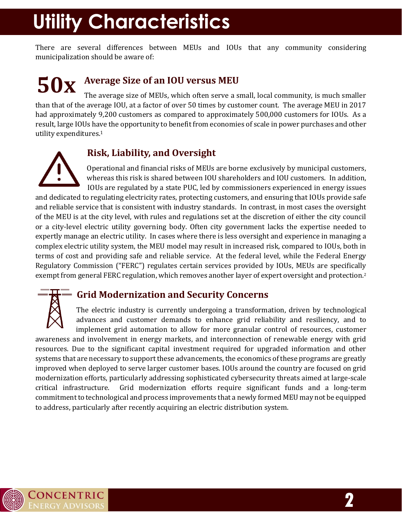## <span id="page-4-0"></span>**Utility Characteristics**

There are several differences between MEUs and IOUs that any community considering municipalization should be aware of:

### **50x** Average Size of an IOU versus MEU<br>The average size of MEUs which often serve a s The average size of MEUs, which often serve a small, local community, is much smaller

than that of the average IOU, at a factor of over 50 times by customer count. The average MEU in 2017 had approximately 9,200 customers as compared to approximately 500,000 customers for IOUs. As a result, large IOUs have the opportunity to benefit from economies of scale in power purchases and other utility expenditures. 1

### **Risk, Liability, and Oversight**

Operational and financial risks of MEUs are borne exclusively by municipal customers, whereas this risk is shared between IOU shareholders and IOU customers. In addition, IOUs are regulated by a state PUC, led by commissioners experienced in energy issues

and dedicated to regulating electricity rates, protecting customers, and ensuring that IOUs provide safe and reliable service that is consistent with industry standards. In contrast, in most cases the oversight of the MEU is at the city level, with rules and regulations set at the discretion of either the city council or a city-level electric utility governing body. Often city government lacks the expertise needed to expertly manage an electric utility. In cases where there is less oversight and experience in managing a complex electric utility system, the MEU model may result in increased risk, compared to IOUs, both in terms of cost and providing safe and reliable service. At the federal level, while the Federal Energy Regulatory Commission ("FERC") regulates certain services provided by IOUs, MEUs are specifically exempt from general FERC regulation, which removes another layer of expert oversight and protection.<sup>2</sup>

### **Grid Modernization and Security Concerns**

The electric industry is currently undergoing a transformation, driven by technological advances and customer demands to enhance grid reliability and resiliency, and to implement grid automation to allow for more granular control of resources, customer awareness and involvement in energy markets, and interconnection of renewable energy with grid resources. Due to the significant capital investment required for upgraded information and other

systems that are necessary to support these advancements, the economics of these programs are greatly improved when deployed to serve larger customer bases. IOUs around the country are focused on grid modernization efforts, particularly addressing sophisticated cybersecurity threats aimed at large-scale critical infrastructure. Grid modernization efforts require significant funds and a long-term commitment to technological and process improvements that a newly formed MEU may not be equipped to address, particularly after recently acquiring an electric distribution system.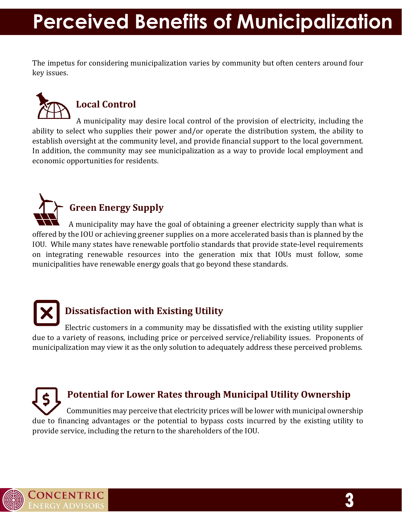### <span id="page-5-0"></span>**Perceived Benefits of Municipalization**

The impetus for considering municipalization varies by community but often centers around four key issues.



### **Local Control**

A municipality may desire local control of the provision of electricity, including the ability to select who supplies their power and/or operate the distribution system, the ability to establish oversight at the community level, and provide financial support to the local government. In addition, the community may see municipalization as a way to provide local employment and economic opportunities for residents.



### **Green Energy Supply**

A municipality may have the goal of obtaining a greener electricity supply than what is offered by the IOU or achieving greener supplies on a more accelerated basis than is planned by the IOU. While many states have renewable portfolio standards that provide state-level requirements on integrating renewable resources into the generation mix that IOUs must follow, some municipalities have renewable energy goals that go beyond these standards.



### **Dissatisfaction with Existing Utility**

Electric customers in a community may be dissatisfied with the existing utility supplier due to a variety of reasons, including price or perceived service/reliability issues. Proponents of municipalization may view it as the only solution to adequately address these perceived problems.

**Potential for Lower Rates through Municipal Utility Ownership** Communities may perceive that electricity prices will be lower with municipal ownership due to financing advantages or the potential to bypass costs incurred by the existing utility to provide service, including the return to the shareholders of the IOU.

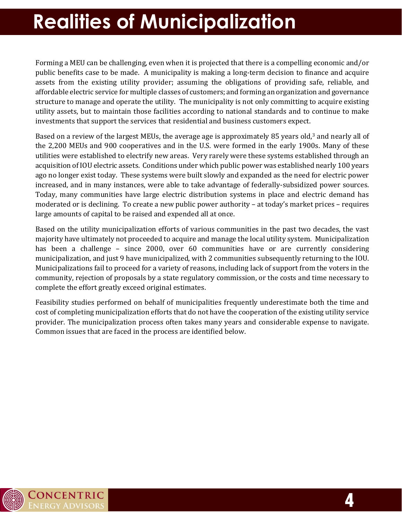### <span id="page-6-0"></span>**Realities of Municipalization**

Forming a MEU can be challenging, even when it is projected that there is a compelling economic and/or public benefits case to be made. A municipality is making a long-term decision to finance and acquire assets from the existing utility provider; assuming the obligations of providing safe, reliable, and affordable electric service for multiple classes of customers; and forming an organization and governance structure to manage and operate the utility. The municipality is not only committing to acquire existing utility assets, but to maintain those facilities according to national standards and to continue to make investments that support the services that residential and business customers expect.

Based on a review of the largest MEUs, the average age is approximately 85 years old,<sup>3</sup> and nearly all of the 2,200 MEUs and 900 cooperatives and in the U.S. were formed in the early 1900s. Many of these utilities were established to electrify new areas. Very rarely were these systems established through an acquisition of IOU electric assets. Conditions under which public power was established nearly 100 years ago no longer exist today. These systems were built slowly and expanded as the need for electric power increased, and in many instances, were able to take advantage of federally-subsidized power sources. Today, many communities have large electric distribution systems in place and electric demand has moderated or is declining. To create a new public power authority – at today's market prices – requires large amounts of capital to be raised and expended all at once.

Based on the utility municipalization efforts of various communities in the past two decades, the vast majority have ultimately not proceeded to acquire and manage the local utility system. Municipalization has been a challenge – since 2000, over 60 communities have or are currently considering municipalization, and just 9 have municipalized, with 2 communities subsequently returning to the IOU. Municipalizations fail to proceed for a variety of reasons, including lack of support from the voters in the community, rejection of proposals by a state regulatory commission, or the costs and time necessary to complete the effort greatly exceed original estimates.

Feasibility studies performed on behalf of municipalities frequently underestimate both the time and cost of completing municipalization efforts that do not have the cooperation of the existing utility service provider. The municipalization process often takes many years and considerable expense to navigate. Common issues that are faced in the process are identified below.

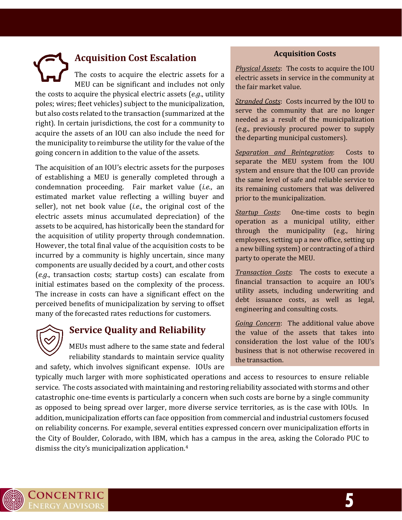### **Acquisition Cost Escalation** The costs to acquire the electric assets for a MEU can be significant and includes not only the costs to acquire the physical electric assets (*e.g*., utility poles; wires; fleet vehicles) subject to the municipalization, but also costs related to the transaction (summarized at the

right). In certain jurisdictions, the cost for a community to acquire the assets of an IOU can also include the need for the municipality to reimburse the utility for the value of the going concern in addition to the value of the assets.

The acquisition of an IOU's electric assets for the purposes of establishing a MEU is generally completed through a condemnation proceeding. Fair market value (*i.e*., an estimated market value reflecting a willing buyer and seller), not net book value (*i.e*., the original cost of the electric assets minus accumulated depreciation) of the assets to be acquired, has historically been the standard for the acquisition of utility property through condemnation. However, the total final value of the acquisition costs to be incurred by a community is highly uncertain, since many components are usually decided by a court, and other costs (*e.g*., transaction costs; startup costs) can escalate from initial estimates based on the complexity of the process. The increase in costs can have a significant effect on the perceived benefits of municipalization by serving to offset many of the forecasted rates reductions for customers.

### **Service Quality and Reliability**

MEUs must adhere to the same state and federal reliability standards to maintain service quality and safety, which involves significant expense. IOUs are

### **Acquisition Costs**

*Physical Assets*: The costs to acquire the IOU electric assets in service in the community at the fair market value.

*Stranded Costs*: Costs incurred by the IOU to serve the community that are no longer needed as a result of the municipalization (e.g., previously procured power to supply the departing municipal customers).

*Separation and Reintegration*: Costs to separate the MEU system from the IOU system and ensure that the IOU can provide the same level of safe and reliable service to its remaining customers that was delivered prior to the municipalization.

*Startup Costs*: One-time costs to begin operation as a municipal utility, either through the municipality (e.g., hiring employees, setting up a new office, setting up a new billing system) or contracting of a third party to operate the MEU.

*Transaction Costs*: The costs to execute a financial transaction to acquire an IOU's utility assets, including underwriting and debt issuance costs, as well as legal, engineering and consulting costs.

*Going Concern*: The additional value above the value of the assets that takes into consideration the lost value of the IOU's business that is not otherwise recovered in the transaction.

typically much larger with more sophisticated operations and access to resources to ensure reliable service. The costs associated with maintaining and restoring reliability associated with storms and other catastrophic one-time events is particularly a concern when such costs are borne by a single community as opposed to being spread over larger, more diverse service territories, as is the case with IOUs. In addition, municipalization efforts can face opposition from commercial and industrial customers focused on reliability concerns. For example, several entities expressed concern over municipalization efforts in the City of Boulder, Colorado, with IBM, which has a campus in the area, asking the Colorado PUC to dismiss the city's municipalization application.<sup>4</sup>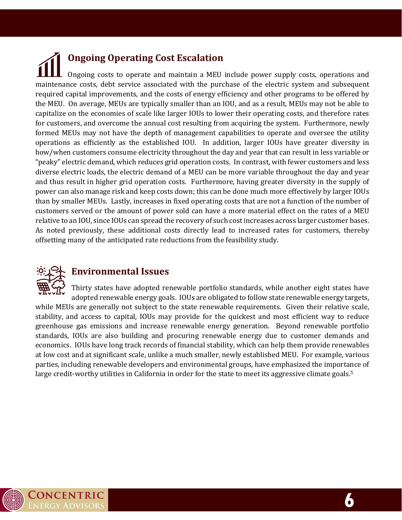**Ongoing Operating Cost Escalation** Ongoing costs to operate and maintain a MEU include power supply costs, operations and maintenance costs, debt service associated with the purchase of the electric system and subsequent required capital improvements, and the costs of energy efficiency and other programs to be offered by the MEU. On average, MEUs are typically smaller than an IOU, and as a result, MEUs may not be able to capitalize on the economies of scale like larger IOUs to lower their operating costs, and therefore rates for customers, and overcome the annual cost resulting from acquiring the system. Furthermore, newly formed MEUs may not have the depth of management capabilities to operate and oversee the utility operations as efficiently as the established IOU. In addition, larger IOUs have greater diversity in how/when customers consume electricity throughout the day and year that can result in less variable or "peaky" electric demand, which reduces grid operation costs. In contrast, with fewer customers and less diverse electric loads, the electric demand of a MEU can be more variable throughout the day and year and thus result in higher grid operation costs. Furthermore, having greater diversity in the supply of power can also manage risk and keep costs down; this can be done much more effectively by larger IOUs than by smaller MEUs. Lastly, increases in fixed operating costs that are not a function of the number of customers served or the amount of power sold can have a more material effect on the rates of a MEU relative to an IOU, since IOUs can spread the recovery of such costincreases across larger customer bases. As noted previously, these additional costs directly lead to increased rates for customers, thereby offsetting many of the anticipated rate reductions from the feasibility study.



### **Environmental Issues**

Thirty states have adopted renewable portfolio standards, while another eight states have adopted renewable energy goals. IOUs are obligated to follow state renewable energy targets, while MEUs are generally not subject to the state renewable requirements. Given their relative scale, stability, and access to capital, IOUs may provide for the quickest and most efficient way to reduce greenhouse gas emissions and increase renewable energy generation. Beyond renewable portfolio standards, IOUs are also building and procuring renewable energy due to customer demands and economics. IOUs have long track records of financial stability, which can help them provide renewables at low cost and at significant scale, unlike a much smaller, newly established MEU. For example, various parties, including renewable developers and environmental groups, have emphasized the importance of large credit-worthy utilities in California in order for the state to meet its aggressive climate goals.<sup>5</sup>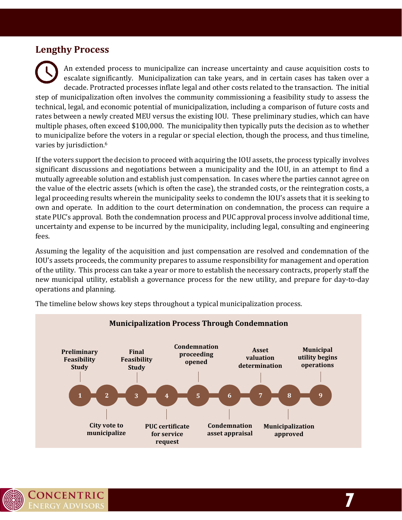### **Lengthy Process**

An extended process to municipalize can increase uncertainty and cause acquisition costs to escalate significantly. Municipalization can take years, and in certain cases has taken over a decade. Protracted processes inflate legal and other costs related to the transaction. The initial step of municipalization often involves the community commissioning a feasibility study to assess the technical, legal, and economic potential of municipalization, including a comparison of future costs and rates between a newly created MEU versus the existing IOU. These preliminary studies, which can have multiple phases, often exceed \$100,000. The municipality then typically puts the decision as to whether to municipalize before the voters in a regular or special election, though the process, and thus timeline, varies by jurisdiction. 6

If the voters support the decision to proceed with acquiring the IOU assets, the process typically involves significant discussions and negotiations between a municipality and the IOU, in an attempt to find a mutually agreeable solution and establish just compensation. In cases where the parties cannot agree on the value of the electric assets (which is often the case), the stranded costs, or the reintegration costs, a legal proceeding results wherein the municipality seeks to condemn the IOU's assets that it is seeking to own and operate. In addition to the court determination on condemnation, the process can require a state PUC's approval. Both the condemnation process and PUC approval process involve additional time, uncertainty and expense to be incurred by the municipality, including legal, consulting and engineering fees.

Assuming the legality of the acquisition and just compensation are resolved and condemnation of the IOU's assets proceeds, the community prepares to assume responsibility for management and operation of the utility. This process can take a year or more to establish the necessary contracts, properly staff the new municipal utility, establish a governance process for the new utility, and prepare for day-to-day operations and planning.



**7**

The timeline below shows key steps throughout a typical municipalization process.

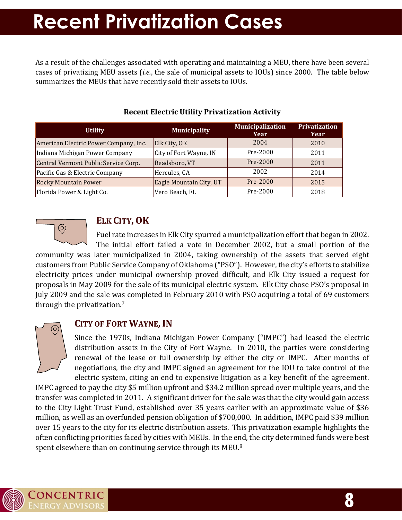### <span id="page-10-0"></span>**Recent Privatization Cases**

As a result of the challenges associated with operating and maintaining a MEU, there have been several cases of privatizing MEU assets (*i.e.*, the sale of municipal assets to IOUs) since 2000. The table below summarizes the MEUs that have recently sold their assets to IOUs.

| <b>Utility</b>                        | <b>Municipality</b>     | <b>Municipalization</b><br>Year | <b>Privatization</b><br>Year |
|---------------------------------------|-------------------------|---------------------------------|------------------------------|
| American Electric Power Company, Inc. | Elk City, OK            | 2004                            | 2010                         |
| Indiana Michigan Power Company        | City of Fort Wayne, IN  | Pre-2000                        | 2011                         |
| Central Vermont Public Service Corp.  | Readsboro, VT           | Pre-2000                        | 2011                         |
| Pacific Gas & Electric Company        | Hercules, CA            | 2002                            | 2014                         |
| <b>Rocky Mountain Power</b>           | Eagle Mountain City, UT | $Pre-2000$                      | 2015                         |
| Florida Power & Light Co.             | Vero Beach, FL          | Pre-2000                        | 2018                         |

#### **Recent Electric Utility Privatization Activity**



### **ELK CITY, OK**

Fuel rate increases in Elk City spurred a municipalization effort that began in 2002. The initial effort failed a vote in December 2002, but a small portion of the community was later municipalized in 2004, taking ownership of the assets that served eight customers from Public Service Company of Oklahoma ("PSO"). However, the city's efforts to stabilize electricity prices under municipal ownership proved difficult, and Elk City issued a request for proposals in May 2009 for the sale of its municipal electric system. Elk City chose PSO's proposal in July 2009 and the sale was completed in February 2010 with PSO acquiring a total of 69 customers through the privatization.<sup>7</sup>

### **CITY OF FORT WAYNE, IN**

Since the 1970s, Indiana Michigan Power Company ("IMPC") had leased the electric distribution assets in the City of Fort Wayne. In 2010, the parties were considering renewal of the lease or full ownership by either the city or IMPC. After months of negotiations, the city and IMPC signed an agreement for the IOU to take control of the electric system, citing an end to expensive litigation as a key benefit of the agreement.

IMPC agreed to pay the city \$5 million upfront and \$34.2 million spread over multiple years, and the transfer was completed in 2011. A significant driver for the sale was that the city would gain access to the City Light Trust Fund, established over 35 years earlier with an approximate value of \$36 million, as well as an overfunded pension obligation of \$700,000. In addition, IMPC paid \$39 million over 15 years to the city for its electric distribution assets. This privatization example highlights the often conflicting priorities faced by cities with MEUs. In the end, the city determined funds were best spent elsewhere than on continuing service through its MEU.8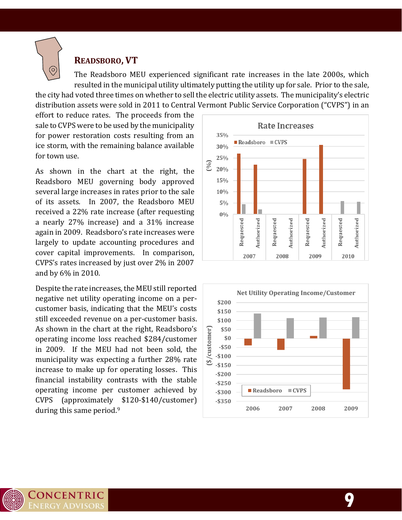

### **READSBORO, VT**

The Readsboro MEU experienced significant rate increases in the late 2000s, which resulted in the municipal utility ultimately putting the utility up for sale. Prior to the sale, the city had voted three times on whether to sell the electric utility assets. The municipality's electric distribution assets were sold in 2011 to Central Vermont Public Service Corporation ("CVPS") in an

effort to reduce rates. The proceeds from the sale to CVPS were to be used by the municipality for power restoration costs resulting from an ice storm, with the remaining balance available for town use.

As shown in the chart at the right, the Readsboro MEU governing body approved several large increases in rates prior to the sale of its assets. In 2007, the Readsboro MEU received a 22% rate increase (after requesting a nearly 27% increase) and a 31% increase again in 2009. Readsboro's rate increases were largely to update accounting procedures and cover capital improvements. In comparison, CVPS's rates increased by just over 2% in 2007 and by 6% in 2010.

Despite the rate increases, the MEU still reported negative net utility operating income on a percustomer basis, indicating that the MEU's costs still exceeded revenue on a per-customer basis. As shown in the chart at the right, Readsboro's operating income loss reached \$284/customer in 2009. If the MEU had not been sold, the municipality was expecting a further 28% rate increase to make up for operating losses. This financial instability contrasts with the stable operating income per customer achieved by CVPS (approximately \$120-\$140/customer) during this same period.<sup>9</sup>



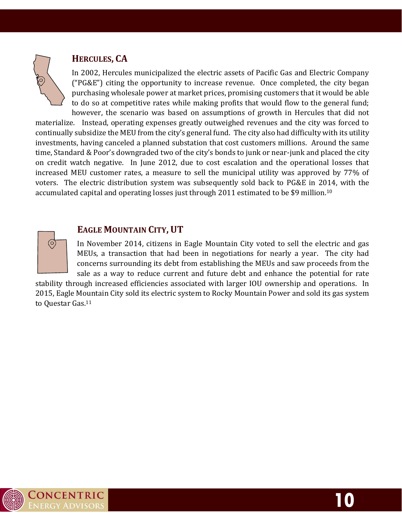### **HERCULES, CA**

In 2002, Hercules municipalized the electric assets of Pacific Gas and Electric Company ("PG&E") citing the opportunity to increase revenue. Once completed, the city began purchasing wholesale power at market prices, promising customers that it would be able to do so at competitive rates while making profits that would flow to the general fund; however, the scenario was based on assumptions of growth in Hercules that did not

materialize. Instead, operating expenses greatly outweighed revenues and the city was forced to continually subsidize the MEU from the city's general fund. The city also had difficulty with its utility investments, having canceled a planned substation that cost customers millions. Around the same time, Standard & Poor's downgraded two of the city's bonds to junk or near-junk and placed the city on credit watch negative. In June 2012, due to cost escalation and the operational losses that increased MEU customer rates, a measure to sell the municipal utility was approved by 77% of voters. The electric distribution system was subsequently sold back to PG&E in 2014, with the accumulated capital and operating losses just through 2011 estimated to be \$9 million.<sup>10</sup>

# $\rm (o)$

### **EAGLE MOUNTAIN CITY, UT**

In November 2014, citizens in Eagle Mountain City voted to sell the electric and gas MEUs, a transaction that had been in negotiations for nearly a year. The city had concerns surrounding its debt from establishing the MEUs and saw proceeds from the sale as a way to reduce current and future debt and enhance the potential for rate

**10**

stability through increased efficiencies associated with larger IOU ownership and operations. In 2015, Eagle Mountain City sold its electric system to Rocky Mountain Power and sold its gas system to Questar Gas.11

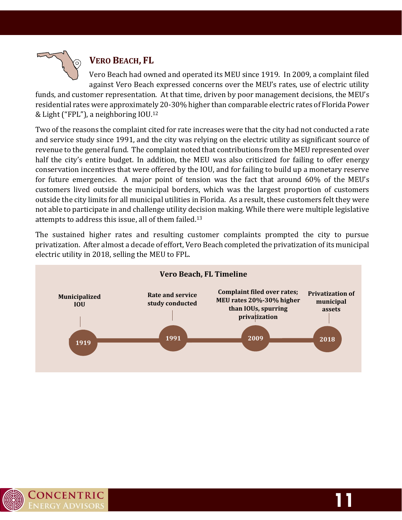

### **VERO BEACH, FL**

Vero Beach had owned and operated its MEU since 1919. In 2009, a complaint filed against Vero Beach expressed concerns over the MEU's rates, use of electric utility

funds, and customer representation. At that time, driven by poor management decisions, the MEU's residential rates were approximately 20-30% higher than comparable electric rates of Florida Power & Light ("FPL"), a neighboring IOU. 12

Two of the reasons the complaint cited for rate increases were that the city had not conducted a rate and service study since 1991, and the city was relying on the electric utility as significant source of revenue to the general fund. The complaint noted that contributions from the MEU represented over half the city's entire budget. In addition, the MEU was also criticized for failing to offer energy conservation incentives that were offered by the IOU, and for failing to build up a monetary reserve for future emergencies. A major point of tension was the fact that around 60% of the MEU's customers lived outside the municipal borders, which was the largest proportion of customers outside the city limits for all municipal utilities in Florida. As a result, these customers felt they were not able to participate in and challenge utility decision making. While there were multiple legislative attempts to address this issue, all of them failed.<sup>13</sup>

The sustained higher rates and resulting customer complaints prompted the city to pursue privatization. After almost a decade of effort, Vero Beach completed the privatization of its municipal electric utility in 2018, selling the MEU to FPL.

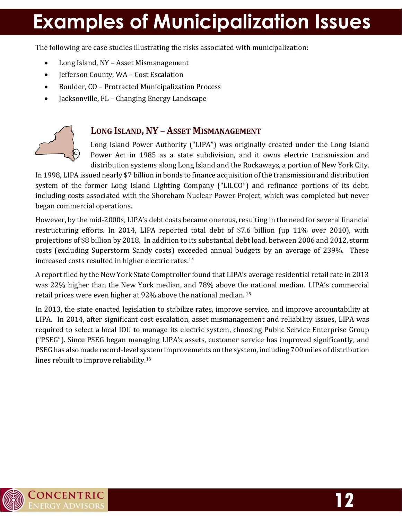## <span id="page-14-0"></span>**Examples of Municipalization Issues**

The following are case studies illustrating the risks associated with municipalization:

- Long Island, NY Asset Mismanagement
- Jefferson County, WA Cost Escalation
- Boulder, CO Protracted Municipalization Process
- Jacksonville, FL Changing Energy Landscape



### **LONG ISLAND, NY – ASSET MISMANAGEMENT**

Long Island Power Authority ("LIPA") was originally created under the Long Island Power Act in 1985 as a state subdivision, and it owns electric transmission and distribution systems along Long Island and the Rockaways, a portion of New York City.

In 1998, LIPA issued nearly \$7 billion in bonds to finance acquisition of the transmission and distribution system of the former Long Island Lighting Company ("LILCO") and refinance portions of its debt, including costs associated with the Shoreham Nuclear Power Project, which was completed but never began commercial operations.

However, by the mid-2000s, LIPA's debt costs became onerous, resulting in the need for several financial restructuring efforts. In 2014, LIPA reported total debt of \$7.6 billion (up 11% over 2010), with projections of \$8 billion by 2018. In addition to its substantial debt load, between 2006 and 2012, storm costs (excluding Superstorm Sandy costs) exceeded annual budgets by an average of 239%. These increased costs resulted in higher electric rates.<sup>14</sup>

A report filed by the New York State Comptroller found that LIPA's average residential retail rate in 2013 was 22% higher than the New York median, and 78% above the national median. LIPA's commercial retail prices were even higher at 92% above the national median. <sup>15</sup>

In 2013, the state enacted legislation to stabilize rates, improve service, and improve accountability at LIPA. In 2014, after significant cost escalation, asset mismanagement and reliability issues, LIPA was required to select a local IOU to manage its electric system, choosing Public Service Enterprise Group ("PSEG"). Since PSEG began managing LIPA's assets, customer service has improved significantly, and PSEG has also made record-level system improvements on the system, including 700 miles of distribution lines rebuilt to improve reliability.16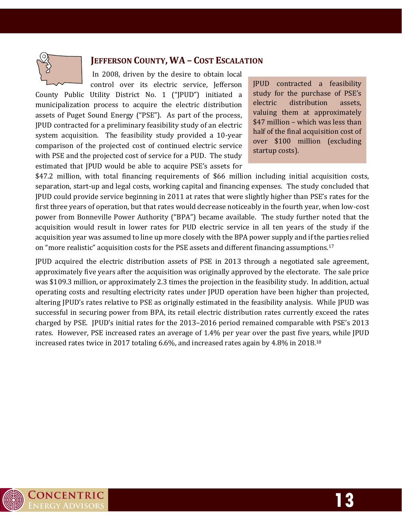

### **JEFFERSON COUNTY, WA – COST ESCALATION**

In 2008, driven by the desire to obtain local control over its electric service, Jefferson

County Public Utility District No. 1 ("JPUD") initiated a municipalization process to acquire the electric distribution assets of Puget Sound Energy ("PSE"). As part of the process, JPUD contracted for a preliminary feasibility study of an electric system acquisition. The feasibility study provided a 10-year comparison of the projected cost of continued electric service with PSE and the projected cost of service for a PUD. The study estimated that JPUD would be able to acquire PSE's assets for JPUD contracted a feasibility study for the purchase of PSE's electric distribution assets, valuing them at approximately \$47 million – which was less than half of the final acquisition cost of over \$100 million (excluding startup costs).

\$47.2 million, with total financing requirements of \$66 million including initial acquisition costs, separation, start-up and legal costs, working capital and financing expenses. The study concluded that JPUD could provide service beginning in 2011 at rates that were slightly higher than PSE's rates for the first three years of operation, but that rates would decrease noticeably in the fourth year, when low-cost power from Bonneville Power Authority ("BPA") became available. The study further noted that the acquisition would result in lower rates for PUD electric service in all ten years of the study if the acquisition year was assumed to line up more closely with the BPA power supply and if the parties relied on "more realistic" acquisition costs for the PSE assets and different financing assumptions.<sup>17</sup>

JPUD acquired the electric distribution assets of PSE in 2013 through a negotiated sale agreement, approximately five years after the acquisition was originally approved by the electorate. The sale price was \$109.3 million, or approximately 2.3 times the projection in the feasibility study. In addition, actual operating costs and resulting electricity rates under JPUD operation have been higher than projected, altering JPUD's rates relative to PSE as originally estimated in the feasibility analysis. While JPUD was successful in securing power from BPA, its retail electric distribution rates currently exceed the rates charged by PSE. JPUD's initial rates for the 2013–2016 period remained comparable with PSE's 2013 rates. However, PSE increased rates an average of 1.4% per year over the past five years, while JPUD increased rates twice in 2017 totaling 6.6%, and increased rates again by 4.8% in 2018.<sup>18</sup>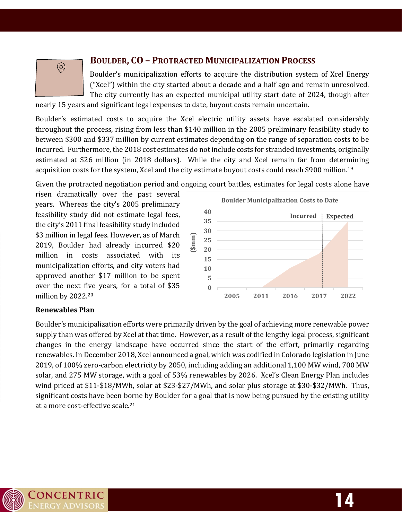

### **BOULDER, CO – PROTRACTED MUNICIPALIZATION PROCESS**

Boulder's municipalization efforts to acquire the distribution system of Xcel Energy ("Xcel") within the city started about a decade and a half ago and remain unresolved. The city currently has an expected municipal utility start date of 2024, though after

nearly 15 years and significant legal expenses to date, buyout costs remain uncertain.

Boulder's estimated costs to acquire the Xcel electric utility assets have escalated considerably throughout the process, rising from less than \$140 million in the 2005 preliminary feasibility study to between \$300 and \$337 million by current estimates depending on the range of separation costs to be incurred. Furthermore, the 2018 cost estimates do not include costs for stranded investments, originally estimated at \$26 million (in 2018 dollars). While the city and Xcel remain far from determining acquisition costs for the system, Xcel and the city estimate buyout costs could reach \$900 million. 19

Given the protracted negotiation period and ongoing court battles, estimates for legal costs alone have

risen dramatically over the past several years. Whereas the city's 2005 preliminary feasibility study did not estimate legal fees, the city's 2011 final feasibility study included \$3 million in legal fees. However, as of March 2019, Boulder had already incurred \$20 million in costs associated with its municipalization efforts, and city voters had approved another \$17 million to be spent over the next five years, for a total of \$35 million by 2022.<sup>20</sup>



#### **Renewables Plan**

Boulder's municipalization efforts were primarily driven by the goal of achieving more renewable power supply than was offered by Xcel at that time. However, as a result of the lengthy legal process, significant changes in the energy landscape have occurred since the start of the effort, primarily regarding renewables. In December 2018, Xcel announced a goal, which was codified in Colorado legislation in June 2019, of 100% zero-carbon electricity by 2050, including adding an additional 1,100 MW wind, 700 MW solar, and 275 MW storage, with a goal of 53% renewables by 2026. Xcel's Clean Energy Plan includes wind priced at \$11-\$18/MWh, solar at \$23-\$27/MWh, and solar plus storage at \$30-\$32/MWh. Thus, significant costs have been borne by Boulder for a goal that is now being pursued by the existing utility at a more cost-effective scale.<sup>21</sup>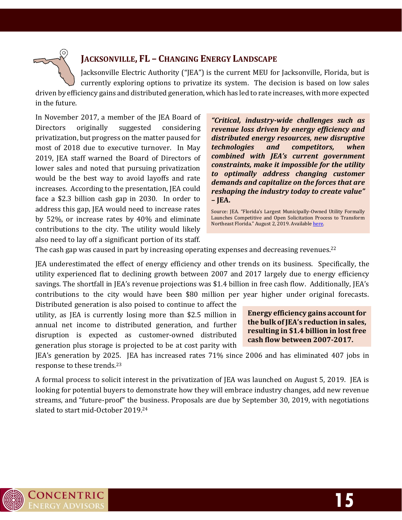

### **JACKSONVILLE, FL – CHANGING ENERGY LANDSCAPE**

Jacksonville Electric Authority ("JEA") is the current MEU for Jacksonville, Florida, but is currently exploring options to privatize its system. The decision is based on low sales

driven by efficiency gains and distributed generation, which has led to rate increases, with more expected in the future.

In November 2017, a member of the JEA Board of Directors originally suggested considering privatization, but progress on the matter paused for most of 2018 due to executive turnover. In May 2019, JEA staff warned the Board of Directors of lower sales and noted that pursuing privatization would be the best way to avoid layoffs and rate increases. According to the presentation, JEA could face a \$2.3 billion cash gap in 2030. In order to address this gap, JEA would need to increase rates by 52%, or increase rates by 40% and eliminate contributions to the city. The utility would likely also need to lay off a significant portion of its staff.

*"Critical, industry-wide challenges such as revenue loss driven by energy efficiency and distributed energy resources, new disruptive technologies and competitors, when combined with JEA's current government constraints, make it impossible for the utility to optimally address changing customer demands and capitalize on the forces that are reshaping the industry today to create value"* **– JEA.**

Source: JEA. "Florida's Largest Municipally-Owned Utility Formally Launches Competitive and Open Solicitation Process to Transform Northeast Florida." August 2, 2019. Available [here.](https://www.jea.com/About/Media_Relations/2019_08_02_Invitation_to_Negotiate_ITN_127-19_for_Strategic_Alternatives/) 

The cash gap was caused in part by increasing operating expenses and decreasing revenues.<sup>22</sup>

JEA underestimated the effect of energy efficiency and other trends on its business. Specifically, the utility experienced flat to declining growth between 2007 and 2017 largely due to energy efficiency savings. The shortfall in JEA's revenue projections was \$1.4 billion in free cash flow. Additionally, JEA's contributions to the city would have been \$80 million per year higher under original forecasts.

Distributed generation is also poised to continue to affect the utility, as JEA is currently losing more than \$2.5 million in annual net income to distributed generation, and further disruption is expected as customer-owned distributed generation plus storage is projected to be at cost parity with

**Energy efficiency gains account for the bulk ofJEA's reduction in sales, resulting in \$1.4 billion in lost free cash flow between 2007-2017.**

JEA's generation by 2025. JEA has increased rates 71% since 2006 and has eliminated 407 jobs in response to these trends. 23

A formal process to solicit interest in the privatization of JEA was launched on August 5, 2019. JEA is looking for potential buyers to demonstrate how they will embrace industry changes, add new revenue streams, and "future-proof" the business. Proposals are due by September 30, 2019, with negotiations slated to start mid-October 2019. 24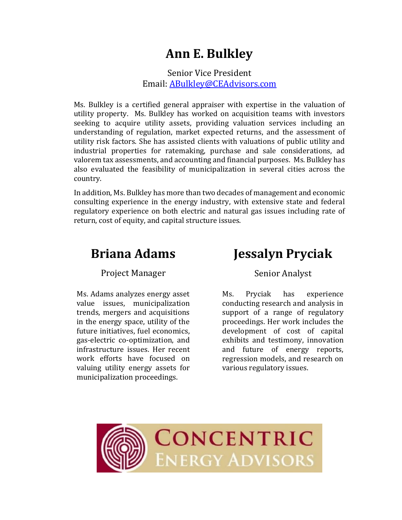### **Ann E. Bulkley**

Senior Vice President Email: [ABulkley@CEAdvisors.com](mailto:ABulkley@CEAdvisors.com)

Ms. Bulkley is a certified general appraiser with expertise in the valuation of utility property. Ms. Bulkley has worked on acquisition teams with investors seeking to acquire utility assets, providing valuation services including an understanding of regulation, market expected returns, and the assessment of utility risk factors. She has assisted clients with valuations of public utility and industrial properties for ratemaking, purchase and sale considerations, ad valorem tax assessments, and accounting and financial purposes. Ms. Bulkley has also evaluated the feasibility of municipalization in several cities across the country.

In addition, Ms. Bulkley has more than two decades of management and economic consulting experience in the energy industry, with extensive state and federal regulatory experience on both electric and natural gas issues including rate of return, cost of equity, and capital structure issues.

### **Briana Adams**

Project Manager

Ms. Adams analyzes energy asset value issues, municipalization trends, mergers and acquisitions in the energy space, utility of the future initiatives, fuel economics, gas-electric co-optimization, and infrastructure issues. Her recent work efforts have focused on valuing utility energy assets for municipalization proceedings.

### **Jessalyn Pryciak**

Senior Analyst

Ms. Pryciak has experience conducting research and analysis in support of a range of regulatory proceedings. Her work includes the development of cost of capital exhibits and testimony, innovation and future of energy reports, regression models, and research on various regulatory issues.

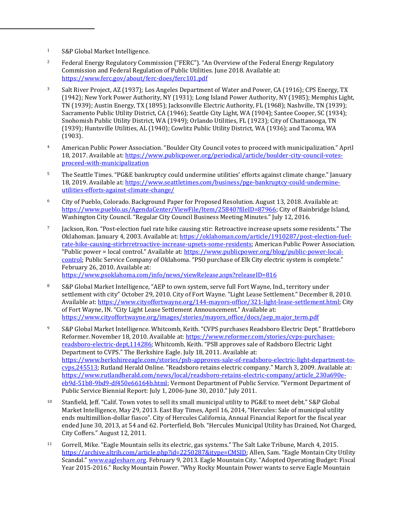- <sup>1</sup> S&P Global Market Intelligence.
- <sup>2</sup> Federal Energy Regulatory Commission ("FERC"). "An Overview of the Federal Energy Regulatory Commission and Federal Regulation of Public Utilities. June 2018. Available at: <https://www.ferc.gov/about/ferc-does/ferc101.pdf>
- <sup>3</sup> Salt River Project, AZ (1937); Los Angeles Department of Water and Power, CA (1916); CPS Energy, TX (1942); New York Power Authority, NY (1931); Long Island Power Authority, NY (1985); Memphis Light, TN (1939); Austin Energy, TX (1895); Jacksonville Electric Authority, FL (1968); Nashville, TN (1939); Sacramento Public Utility District, CA (1946); Seattle City Light, WA (1904); Santee Cooper, SC (1934); Snohomish Public Utility District, WA (1949); Orlando Utilities, FL (1923); City of Chattanooga, TN (1939); Huntsville Utilities, AL (1940); Cowlitz Public Utility District, WA (1936); and Tacoma, WA (1903).
- <sup>4</sup> American Public Power Association. "Boulder City Council votes to proceed with municipalization." April 18, 2017. Available at: [https://www.publicpower.org/periodical/article/boulder-city-council-votes](https://www.publicpower.org/periodical/article/boulder-city-council-votes-proceed-with-municipalization)[proceed-with-municipalization](https://www.publicpower.org/periodical/article/boulder-city-council-votes-proceed-with-municipalization)
- <sup>5</sup> The Seattle Times. "PG&E bankruptcy could undermine utilities' efforts against climate change." January 18, 2019. Available at: [https://www.seattletimes.com/business/pge-bankruptcy-could-undermine](https://www.seattletimes.com/business/pge-bankruptcy-could-undermine-utilities-efforts-against-climate-change/)[utilities-efforts-against-climate-change/](https://www.seattletimes.com/business/pge-bankruptcy-could-undermine-utilities-efforts-against-climate-change/)
- <sup>6</sup> City of Pueblo, Colorado. Background Paper for Proposed Resolution. August 13, 2018. Available at: [https://www.pueblo.us/AgendaCenter/ViewFile/Item/25840?fileID=87966;](https://www.pueblo.us/AgendaCenter/ViewFile/Item/25840?fileID=87966) City of Bainbridge Island, Washington City Council. "Regular City Council Business Meeting Minutes." July 12, 2016.
- <sup>7</sup> Jackson, Ron. "Post-election fuel rate hike causing stir: Retroactive increase upsets some residents." The Oklahoman. January 4, 2003. Available at: [https://oklahoman.com/article/1910287/post-election-fuel](https://oklahoman.com/article/1910287/post-election-fuel-rate-hike-causing-stirbrretroactive-increase-upsets-some-residents)[rate-hike-causing-stirbrretroactive-increase-upsets-some-residents;](https://oklahoman.com/article/1910287/post-election-fuel-rate-hike-causing-stirbrretroactive-increase-upsets-some-residents) American Public Power Association. "Public power = local control." Available at: [https://www.publicpower.org/blog/public-power-local](https://www.publicpower.org/blog/public-power-local-control)[control](https://www.publicpower.org/blog/public-power-local-control); Public Service Company of Oklahoma. "PSO purchase of Elk City electric system is complete." February 26, 2010. Available at:

<https://www.psoklahoma.com/info/news/viewRelease.aspx?releaseID=816>

- 8 S&P Global Market Intelligence, "AEP to own system, serve full Fort Wayne, Ind., territory under settlement with city" October 29, 2010. City of Fort Wayne. "Light Lease Settlement." December 8, 2010. Available at[: https://www.cityoffortwayne.org/144-mayors-office/321-light-lease-settlement.html;](https://www.cityoffortwayne.org/144-mayors-office/321-light-lease-settlement.html) City of Fort Wayne, IN. "City Light Lease Settlement Announcement." Available at: [https://www.cityoffortwayne.org/images/stories/mayors\\_office/docs/aep\\_major\\_term.pdf](https://www.cityoffortwayne.org/images/stories/mayors_office/docs/aep_major_term.pdf)
- <sup>9</sup> S&P Global Market Intelligence. Whitcomb, Keith. "CVPS purchases Readsboro Electric Dept." Brattleboro Reformer. November 18, 2010. Available at: [https://www.reformer.com/stories/cvps-purchases](https://www.reformer.com/stories/cvps-purchases-readsboro-electric-dept,114286)[readsboro-electric-dept,114286](https://www.reformer.com/stories/cvps-purchases-readsboro-electric-dept,114286); Whitcomb, Keith. "PSB approves sale of Radsboro Electric Light Department to CVPS." The Berkshire Eagle. July 18, 2011. Available at: [https://www.berkshireeagle.com/stories/psb-approves-sale-of-readsboro-electric-light-department-to](https://www.berkshireeagle.com/stories/psb-approves-sale-of-readsboro-electric-light-department-to-cvps,245513)[cvps,245513](https://www.berkshireeagle.com/stories/psb-approves-sale-of-readsboro-electric-light-department-to-cvps,245513); Rutland Herald Online. "Readsboro retains electric company." March 3, 2009. Available at: [https://www.rutlandherald.com/news/local/readsboro-retains-electric-company/article\\_230a690e](https://www.rutlandherald.com/news/local/readsboro-retains-electric-company/article_230a690e-eb9d-51b8-9bd9-df450e66164b.html)[eb9d-51b8-9bd9-df450e66164b.html](https://www.rutlandherald.com/news/local/readsboro-retains-electric-company/article_230a690e-eb9d-51b8-9bd9-df450e66164b.html); Vermont Department of Public Service. "Vermont Department of Public Service Biennial Report: July 1, 2006-June 30, 2010." July 2011.
- <sup>10</sup> Stanfield, Jeff. "Calif. Town votes to sell its small municipal utility to PG&E to meet debt." S&P Global Market Intelligence, May 29, 2013. East Bay Times, April 16, 2014, "Hercules: Sale of municipal utility ends multimillion-dollar fiasco". City of Hercules California, Annual Financial Report for the fiscal year ended June 30, 2013, at 54 and 62. Porterfield, Bob. "Hercules Municipal Utility has Drained, Not Charged, City Coffers." August 12, 2011.
- <sup>11</sup> Gorrell, Mike. "Eagle Mountain sells its electric, gas systems." The Salt Lake Tribune, March 4, 2015. <https://archive.sltrib.com/article.php?id=2250287&itype=CMSID>; Allen, Sam. "Eagle Montain City Utility Scandal." [www.eagleshare.org](http://www.eagleshare.org/). February 9, 2013. Eagle Mountain City. "Adopted Operating Budget: Fiscal Year 2015-2016." Rocky Mountain Power. "Why Rocky Mountain Power wants to serve Eagle Mountain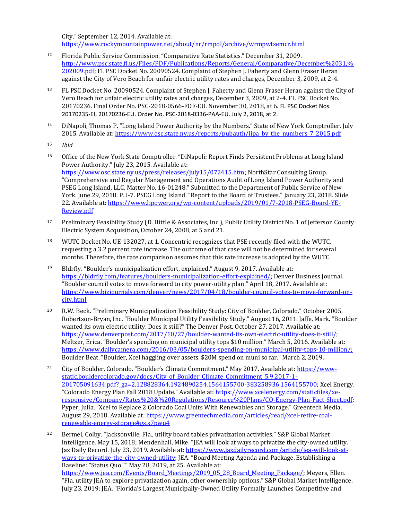City." September 12, 2014. Available at: <https://www.rockymountainpower.net/about/nr/rmpol/archive/wrmpwtsemcr.html>

- <sup>12</sup> Florida Public Service Commission. "Comparative Rate Statistics." December 31, 2009. [http://www.psc.state.fl.us/Files/PDF/Publications/Reports/General/Comparative/December%2031,%](http://www.psc.state.fl.us/Files/PDF/Publications/Reports/General/Comparative/December%2031,%202009.pdf) [202009.pdf;](http://www.psc.state.fl.us/Files/PDF/Publications/Reports/General/Comparative/December%2031,%202009.pdf) FL PSC Docket No. 20090524. Complaint of Stephen J. Faherty and Glenn Fraser Heran against the City of Vero Beach for unfair electric utility rates and charges, December 3, 2009, at 2-4.
- <sup>13</sup> FL PSC Docket No. 20090524. Complaint of Stephen J. Faherty and Glenn Fraser Heran against the City of Vero Beach for unfair electric utility rates and charges, December 3, 2009, at 2-4. FL PSC Docket No. 20170236. Final Order No. PSC-2018-0566-FOF-EU. November 30, 2018, at 6. FL PSC Docket Nos. 20170235-EI, 20170236-EU. Order No. PSC-2018-0336-PAA-EU. July 2, 2018, at 2.
- <sup>14</sup> DiNapoli, Thomas P. "Long Island Power Authority by the Numbers." State of New York Comptroller. July 2015. Available at[: https://www.osc.state.ny.us/reports/pubauth/lipa\\_by\\_the\\_numbers\\_7\\_2015.pdf](https://www.osc.state.ny.us/reports/pubauth/lipa_by_the_numbers_7_2015.pdf)
- <sup>15</sup> *Ibid.*
- <sup>16</sup> Office of the New York State Comptroller. "DiNapoli: Report Finds Persistent Problems at Long Island Power Authority." July 23, 2015. Available at: [https://www.osc.state.ny.us/press/releases/july15/072415.htm;](https://www.osc.state.ny.us/press/releases/july15/072415.htm) NorthStar Consulting Group. "Comprehensive and Regular Management and Operations Audit of Long Island Power Authority and PSEG Long Island, LLC, Matter No. 16-01248." Submitted to the Department of Public Service of New York. June 29, 2018. P. I-7. PSEG Long Island. "Report to the Board of Trustees." January 23, 2018. Slide 22. Available at[: https://www.lipower.org/wp-content/uploads/2019/01/7-2018-PSEG-Board-YE-](https://www.lipower.org/wp-content/uploads/2019/01/7-2018-PSEG-Board-YE-Review.pdf)[Review.pdf](https://www.lipower.org/wp-content/uploads/2019/01/7-2018-PSEG-Board-YE-Review.pdf)
- <sup>17</sup> Preliminary Feasibility Study (D. Hittle & Associates, Inc.), Public Utility District No. 1 of Jefferson County Electric System Acquisition, October 24, 2008, at 5 and 21.
- <sup>18</sup> WUTC Docket No. UE-132027, at 1. Concentric recognizes that PSE recently filed with the WUTC, requesting a 3.2 percent rate increase. The outcome of that case will not be determined for several months. Therefore, the rate comparison assumes that this rate increase is adopted by the WUTC.
- <sup>19</sup> Bldrfly. "Boulder's municipalization effort, explained." August 9, 2017. Available at: [https://bldrfly.com/features/boulders-municipalization-effort-explained/;](https://bldrfly.com/features/boulders-municipalization-effort-explained/) Denver Business Journal. "Boulder council votes to move forward to city power-utility plan." April 18, 2017. Available at: [https://www.bizjournals.com/denver/news/2017/04/18/boulder-council-votes-to-move-forward-on](https://www.bizjournals.com/denver/news/2017/04/18/boulder-council-votes-to-move-forward-on-city.html)[city.html](https://www.bizjournals.com/denver/news/2017/04/18/boulder-council-votes-to-move-forward-on-city.html)
- <sup>20</sup> R.W. Beck. "Preliminary Municipalization Feasibility Study: City of Boulder, Colorado." October 2005. Robertson-Bryan, Inc. "Boulder Municipal Utility Feasibility Study." August 16, 2011. Jaffe, Mark. "Boulder wanted its own electric utility. Does it still?" The Denver Post. October 27, 2017. Available at: [https://www.denverpost.com/2017/10/27/boulder-wanted-its-own-electric-utility-does-it-still/;](https://www.denverpost.com/2017/10/27/boulder-wanted-its-own-electric-utility-does-it-still/) Meltzer, Erica. "Boulder's spending on municipal utility tops \$10 million." March 5, 2016. Available at: [https://www.dailycamera.com/2016/03/05/boulders-spending-on-municipal-utility-tops-10-million/;](https://www.dailycamera.com/2016/03/05/boulders-spending-on-municipal-utility-tops-10-million/) Boulder Beat. "Boulder, Xcel haggling over assets. \$20M spend on muni so far." March 2, 2019.
- <sup>21</sup> City of Boulder, Colorado. "Boulder's Climate Commitment." May 2017. Available at: [https://www](https://www-static.bouldercolorado.gov/docs/City_of_Boulder_Climate_Commitment_5.9.2017-1-201705091634.pdf?_ga=2.128828364.1924890254.1564155700-383258936.1564155700)[static.bouldercolorado.gov/docs/City\\_of\\_Boulder\\_Climate\\_Commitment\\_5.9.2017-1-](https://www-static.bouldercolorado.gov/docs/City_of_Boulder_Climate_Commitment_5.9.2017-1-201705091634.pdf?_ga=2.128828364.1924890254.1564155700-383258936.1564155700) [201705091634.pdf?\\_ga=2.128828364.1924890254.1564155700-383258936.1564155700;](https://www-static.bouldercolorado.gov/docs/City_of_Boulder_Climate_Commitment_5.9.2017-1-201705091634.pdf?_ga=2.128828364.1924890254.1564155700-383258936.1564155700) Xcel Energy. "Colorado Energy Plan Fall 2018 Update." Available at: [https://www.xcelenergy.com/staticfiles/xe](https://www.xcelenergy.com/staticfiles/xe-responsive/Company/Rates%20&%20Regulations/Resource%20Plans/CO-Energy-Plan-Fact-Sheet.pdf)[responsive/Company/Rates%20&%20Regulations/Resource%20Plans/CO-Energy-Plan-Fact-Sheet.pdf;](https://www.xcelenergy.com/staticfiles/xe-responsive/Company/Rates%20&%20Regulations/Resource%20Plans/CO-Energy-Plan-Fact-Sheet.pdf) Pyper, Julia. "Xcel to Replace 2 Colorado Coal Units With Renewables and Storage." Greentech Media. August 29, 2018. Available at: [https://www.greentechmedia.com/articles/read/xcel-retire-coal](https://www.greentechmedia.com/articles/read/xcel-retire-coal-renewable-energy-storage#gs.s7pwu4)[renewable-energy-storage#gs.s7pwu4](https://www.greentechmedia.com/articles/read/xcel-retire-coal-renewable-energy-storage#gs.s7pwu4)
- <sup>22</sup> Bermel, Colby. "Jacksonville, Fla., utility board tables privatization activities." S&P Global Market Intelligence. May 15, 2018; Mendenhall, Mike. "JEA will look at ways to privatize the city-owned utility." Jax Daily Record. July 23, 2019. Available at[: https://www.jaxdailyrecord.com/article/jea-will-look-at](https://www.jaxdailyrecord.com/article/jea-will-look-at-ways-to-privatize-the-city-owned-utility)[ways-to-privatize-the-city-owned-utility](https://www.jaxdailyrecord.com/article/jea-will-look-at-ways-to-privatize-the-city-owned-utility); JEA. "Board Meeting Agenda and Package. Establishing a Baseline: "Status Quo."" May 28, 2019, at 25. Available at: [https://www.jea.com/Events/Board\\_Meetings/2019\\_05\\_28\\_Board\\_Meeting\\_Package/;](https://www.jea.com/Events/Board_Meetings/2019_05_28_Board_Meeting_Package/) Meyers, Ellen. "Fla. utility JEA to explore privatization again, other ownership options." S&P Global Market Intelligence. July 23, 2019; JEA. "Florida's Largest Municipally-Owned Utility Formally Launches Competitive and